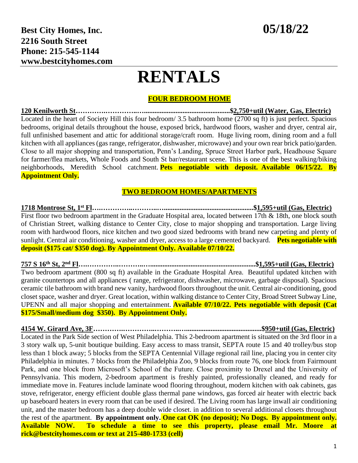#### **FOUR BEDROOM HOME**

**120 Kenilworth St………….…………..….................................................\$2,750+util (Water, Gas, Electric)** Located in the heart of Society Hill this four bedroom/ 3.5 bathroom home (2700 sq ft) is just perfect. Spacious bedrooms, original details throughout the house, exposed brick, hardwood floors, washer and dryer, central air, full unfinished basement and attic for additional storage/craft room. Huge living room, dining room and a full kitchen with all appliances (gas range, refrigerator, dishwasher, microwave) and your own rear brick patio/garden. Close to all major shopping and transportation, Penn's Landing, Spruce Street Harbor park, Headhouse Square for farmer/flea markets, Whole Foods and South St bar/restaurant scene. This is one of the best walking/biking neighborhoods, Meredith School catchment. **Pets negotiable with deposit. Available 06/15/22. By Appointment Only.**

#### **TWO BEDROOM HOMES/APARTMENTS**

**1718 Montrose St, 1st Fl….…………..………..…...................................................\$1,595+util (Gas, Electric)** First floor two bedroom apartment in the Graduate Hospital area, located between 17th & 18th, one block south of Christian Street, walking distance to Center City, close to major shopping and transportation. Large living room with hardwood floors, nice kitchen and two good sized bedrooms with brand new carpeting and plenty of sunlight. Central air conditioning, washer and dryer, access to a large cemented backyard. **Pets negotiable with deposit (\$175 cat/ \$350 dog). By Appointment Only. Available 07/10/22.**

**757 S 16th St, 2nd Fl….…………..………..…............................................................\$1,595+util (Gas, Electric)** Two bedroom apartment (800 sq ft) available in the Graduate Hospital Area. Beautiful updated kitchen with granite countertops and all appliances ( range, refrigerator, dishwasher, microwave, garbage disposal). Spacious ceramic tile bathroom with brand new vanity, hardwood floors throughout the unit. Central air-conditioning, good closet space, washer and dryer. Great location, within walking distance to Center City, Broad Street Subway Line, UPENN and all major shopping and entertainment. **Available 07/10/22. Pets negotiable with deposit (Cat \$175/Small/medium dog \$350). By Appointment Only.**

**4154 W. Girard Ave, 3F………….…………..………..…...........................................\$950+util (Gas, Electric)** Located in the Park Side section of West Philadelphia. This 2-bedroom apartment is situated on the 3rd floor in a 3 story walk up, 5-unit boutique building. Easy access to mass transit, SEPTA route 15 and 40 trolley/bus stop less than 1 block away; 5 blocks from the SEPTA Centennial Village regional rail line, placing you in center city Philadelphia in minutes. 7 blocks from the Philadelphia Zoo, 9 blocks from route 76, one block from Fairmount Park, and one block from Microsoft's School of the Future. Close proximity to Drexel and the University of Pennsylvania. This modern, 2-bedroom apartment is freshly painted, professionally cleaned, and ready for immediate move in. Features include laminate wood flooring throughout, modern kitchen with oak cabinets, gas stove, refrigerator, energy efficient double glass thermal pane windows, gas forced air heater with electric back up baseboard heaters in every room that can be used if desired. The Living room has large inwall air conditioning unit, and the master bedroom has a deep double wide closet. in addition to several additional closets throughout the rest of the apartment. **By appointment only. One cat OK (no deposit); No Dogs. By appointment only. Available NOW. To schedule a time to see this property, please email Mr. Moore at rick@bestcityhomes.com or text at 215-480-1733 (cell)**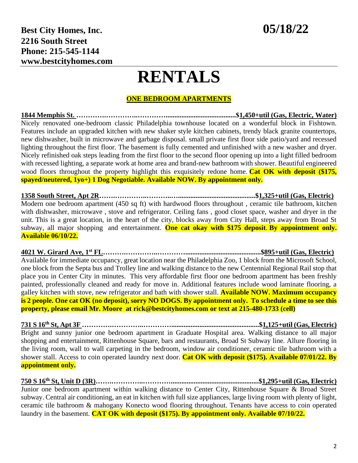#### **ONE BEDROOM APARTMENTS**

**1844 Memphis St. ………….…………..…………........................................\$1,450+util (Gas, Electric, Water)** Nicely renovated one-bedroom classic Philadelphia townhouse located on a wonderful block in Fishtown. Features include an upgraded kitchen with new shaker style kitchen cabinets, trendy black granite countertops, new dishwasher, built in microwave and garbage disposal. small private first floor side patio/yard and recessed lighting throughout the first floor. The basement is fully cemented and unfinished with a new washer and dryer. Nicely refinished oak steps leading from the first floor to the second floor opening up into a light filled bedroom with recessed lighting, a separate work at home area and brand-new bathroom with shower. Beautiful engineered wood floors throughout the property highlight this exquisitely redone home. **Cat OK with deposit (\$175, spayed/neutered, 1yo+) 1 Dog Negotiable. Available NOW. By appointment only.**

**1358 South Street, Apt 2R…….…………..………..…............................................\$1,325+util (Gas, Electric)** Modern one bedroom apartment (450 sq ft) with hardwood floors throughout , ceramic tile bathroom, kitchen with dishwasher, microwave , stove and refrigerator. Ceiling fans , good closet space, washer and dryer in the unit. This is a great location, in the heart of the city, blocks away from City Hall, steps away from Broad St subway, all major shopping and entertainment. **One cat okay with \$175 deposit**. **By appointment only. Available 06/10/22.**

**4021 W. Girard Ave, 1 st FL……….…………..…………...........................................\$895+util (Gas, Electric)** Available for immediate occupancy, great location near the Philadelphia Zoo, 1 block from the Microsoft School, one block from the Septa bus and Trolley line and walking distance to the new Centennial Regional Rail stop that place you in Center City in minutes. This very affordable first floor one bedroom apartment has been freshly painted, professionally cleaned and ready for move in. Additional features include wood laminate flooring, a galley kitchen with stove, new refrigerator and bath with shower stall. **Available NOW. Maximum occupancy** is 2 people. One cat OK (no deposit), sorry NO DOGS. By appointment only. To schedule a time to see this **property, please email Mr. Moore at rick@bestcityhomes.com or text at 215-480-1733 (cell)**

**731 S 16th St, Apt 3F ………….…………..…………..................................................\$1,125+util (Gas, Electric)** Bright and sunny junior one bedroom apartment in Graduate Hospital area. Walking distance to all major shopping and entertainment, Rittenhouse Square, bars and restaurants, Broad St Subway line. Allure flooring in the living room, wall to wall carpeting in the bedroom, window air conditioner, ceramic tile bathroom with a shower stall. Access to coin operated laundry next door. **Cat OK with deposit (\$175). Available 07/01/22. By appointment only.**

### **750 S 16th St, Unit D (3R)…….…………..…………..................................................\$1,295+util (Gas, Electric)** Junior one bedroom apartment within walking distance to Center City, Rittenhouse Square & Broad Street

subway. Central air conditioning, an eat in kitchen with full size appliances, large living room with plenty of light, ceramic tile bathroom & mahogany Konecto wood flooring throughout. Tenants have access to coin operated laundry in the basement. **CAT OK with deposit (\$175). By appointment only. Available 07/10/22.**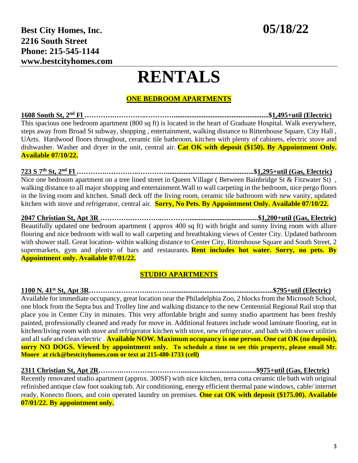### **ONE BEDROOM APARTMENTS**

**1608 South St, 2nd Fl ………….…………..…………......................................................\$1,495+util (Electric)** This spacious one bedroom apartment (800 sq ft) is located in the heart of Graduate Hospital. Walk everywhere, steps away from Broad St subway, shopping , entertainment, walking distance to Rittenhouse Square, City Hall , UArts. Hardwood floors throughout, ceramic tile bathroom, kitchen with plenty of cabinets, electric stove and dishwasher. Washer and dryer in the unit, central air. **Cat OK with deposit (\$150). By Appointment Only. Available 07/10/22.**

**723 S 7th St, 2nd Fl ………….…………..…………..................................................\$1,295+util (Gas, Electric)** Nice one bedroom apartment on a tree lined street in Queen Village (Between Bainbridge St & Fitzwater St), walking distance to all major shopping and entertainment.Wall to wall carpeting in the bedroom, nice pergo floors in the living room and kitchen. Small deck off the living room, ceramic tile bathroom with new vanity, updated kitchen with stove and refrigerator, central air. **Sorry, No Pets. By Appointment Only. Available 07/10/22.**

**2047 Christian St, Apt 3R ………….…………..………….......................................\$1,200+util (Gas, Electric)** Beautifully updated one bedroom apartment ( approx 400 sq ft) with bright and sunny living room with allure flooring and nice bedroom with wall to wall carpeting and breathtaking views of Center City. Updated bathroom with shower stall. Great location- within walking distance to Center City, Rittenhouse Square and South Street, 2 supermarkets, gym and plenty of bars and restaurants. **Rent includes hot water. Sorry, no pets. By Appointment only. Available 07/01/22.**

### **STUDIO APARTMENTS**

**1100 N. 41st St, Apt 3R………….…………..………..........................................................\$795+util (Electric)** Available for immediate occupancy, great location near the Philadelphia Zoo, 2 blocks from the Microsoft School, one block from the Septa bus and Trolley line and walking distance to the new Centennial Regional Rail stop that place you in Center City in minutes. This very affordable bright and sunny studio apartment has been freshly painted, professionally cleaned and ready for move in. Additional features include wood laminate flooring, eat in kitchen/living room with stove and refrigerator kitchen with stove, new refrigerator, and bath with shower utilities and all safe and clean electric . **Available NOW. Maximum occupancy is one person. One cat OK (no deposit), sorry NO DOGS. Viewed by appointment only. To schedule a time to see this property, please email Mr. Moore at rick@bestcityhomes.com or text at 215-480-1733 (cell)**

**2311 Christian St, Apt 2R……….…………..…………...........................................\$975+util (Gas, Electric)** Recently renovated studio apartment (approx. 300SF) with nice kitchen, terra cotta ceramic tile bath with original refinished antique claw foot soaking tub. Air conditioning, energy efficient thermal pane windows, cable/ internet ready, Konecto floors, and coin operated laundry on premises. **One cat OK with deposit (\$175.00). Available 07/01/22. By appointment only.**